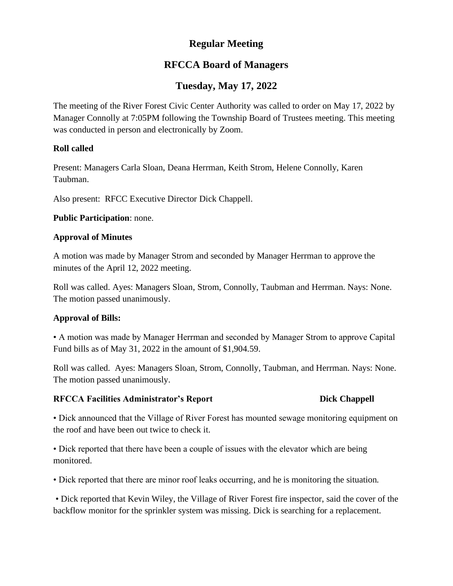# **Regular Meeting**

# **RFCCA Board of Managers**

# **Tuesday, May 17, 2022**

The meeting of the River Forest Civic Center Authority was called to order on May 17, 2022 by Manager Connolly at 7:05PM following the Township Board of Trustees meeting. This meeting was conducted in person and electronically by Zoom.

## **Roll called**

Present: Managers Carla Sloan, Deana Herrman, Keith Strom, Helene Connolly, Karen Taubman.

Also present: RFCC Executive Director Dick Chappell.

**Public Participation**: none.

## **Approval of Minutes**

A motion was made by Manager Strom and seconded by Manager Herrman to approve the minutes of the April 12, 2022 meeting.

Roll was called. Ayes: Managers Sloan, Strom, Connolly, Taubman and Herrman. Nays: None. The motion passed unanimously.

## **Approval of Bills:**

• A motion was made by Manager Herrman and seconded by Manager Strom to approve Capital Fund bills as of May 31, 2022 in the amount of \$1,904.59.

Roll was called. Ayes: Managers Sloan, Strom, Connolly, Taubman, and Herrman. Nays: None. The motion passed unanimously.

### **RFCCA Facilities Administrator's Report Dick Chappell**

• Dick announced that the Village of River Forest has mounted sewage monitoring equipment on the roof and have been out twice to check it.

• Dick reported that there have been a couple of issues with the elevator which are being monitored.

• Dick reported that there are minor roof leaks occurring, and he is monitoring the situation.

• Dick reported that Kevin Wiley, the Village of River Forest fire inspector, said the cover of the backflow monitor for the sprinkler system was missing. Dick is searching for a replacement.